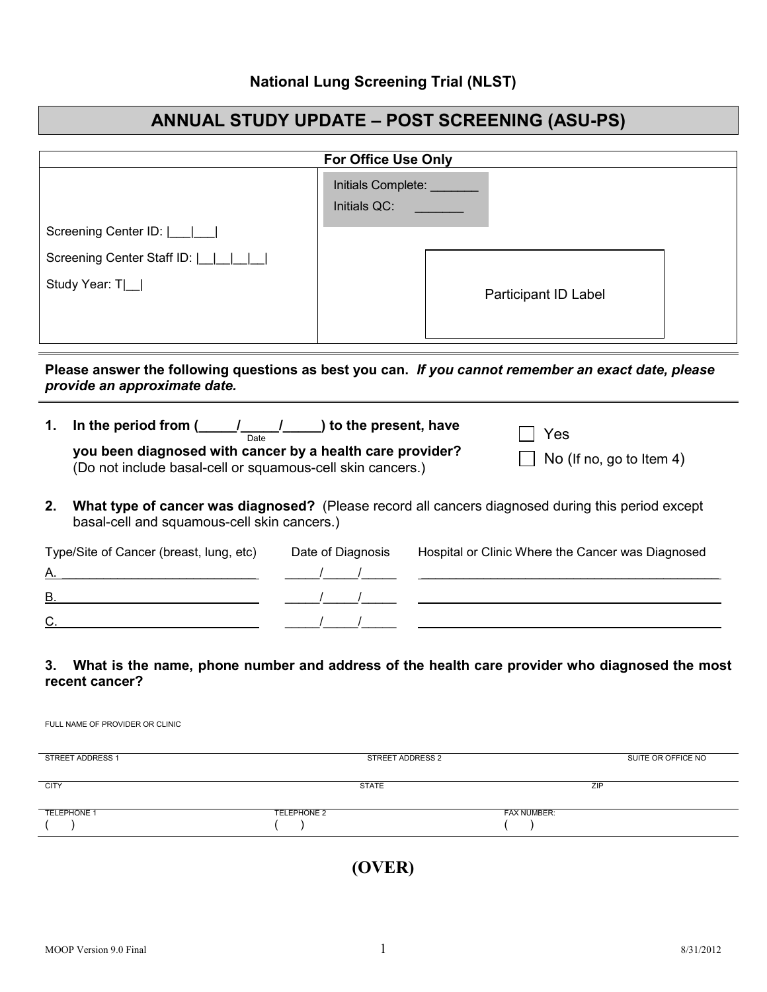## **National Lung Screening Trial (NLST)**

## **ANNUAL STUDY UPDATE – POST SCREENING (ASU-PS)**

| <b>For Office Use Only</b>                        |                                           |                      |
|---------------------------------------------------|-------------------------------------------|----------------------|
|                                                   | Initials Complete: ______<br>Initials QC: |                      |
| Screening Center ID: $\boxed{\underline{\qquad}}$ |                                           |                      |
| Screening Center Staff ID: [                      |                                           |                      |
| Study Year: T _                                   |                                           | Participant ID Label |

## **Please answer the following questions as best you can.** *If you cannot remember an exact date, please provide an approximate date.*

| 1. | In the period from $($ $/$ $/$<br>$\Box$ ) to the present, have<br>Date<br>you been diagnosed with cancer by a health care provider?<br>(Do not include basal-cell or squamous-cell skin cancers.) |                   | Yes<br>No (If no, go to Item 4) |                                                   |
|----|----------------------------------------------------------------------------------------------------------------------------------------------------------------------------------------------------|-------------------|---------------------------------|---------------------------------------------------|
| 2. | What type of cancer was diagnosed? (Please record all cancers diagnosed during this period except<br>basal-cell and squamous-cell skin cancers.)                                                   |                   |                                 |                                                   |
|    | Type/Site of Cancer (breast, lung, etc)                                                                                                                                                            | Date of Diagnosis |                                 | Hospital or Clinic Where the Cancer was Diagnosed |

| R |  |
|---|--|
| ⌒ |  |

## **3. What is the name, phone number and address of the health care provider who diagnosed the most recent cancer?**

| STREET ADDRESS 1   | STREET ADDRESS 2   | SUITE OR OFFICE NO |
|--------------------|--------------------|--------------------|
| <b>CITY</b>        | <b>STATE</b>       | ZIP                |
|                    |                    |                    |
| <b>TELEPHONE 1</b> | <b>TELEPHONE 2</b> | <b>FAX NUMBER:</b> |
|                    |                    |                    |
|                    |                    |                    |

**(OVER)**

FULL NAME OF PROVIDER OR CLINIC